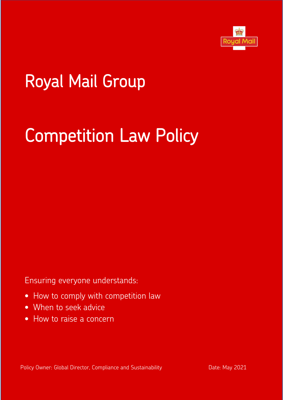

# Royal Mail Group

# Competition Law Policy

Ensuring everyone understands:

- How to comply with competition law
- When to seek advice
- How to raise a concern

Policy Owner: Global Director, Compliance and Sustainability Date: May 2021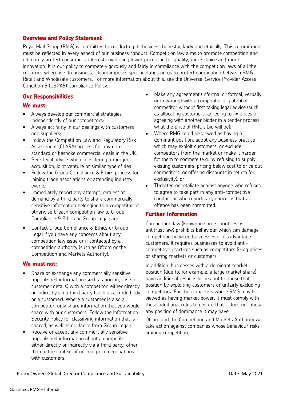#### **Overview and Policy Statement**

Royal Mail Group (RMG) is committed to conducting its business honestly, fairly and ethically. This commitment must be reflected in every aspect of our business conduct. Competition law aims to promote competition and ultimately protect consumers' interests by driving lower prices, better quality, more choice and more innovation. It is our policy to compete vigorously and fairly in compliance with the competition laws of all the countries where we do business. Ofcom imposes specific duties on us to protect competition between RMG Retail and Wholesale customers. For more information about this, see the Universal Service Provider Access Condition 5 (USPA5) Compliance Policy.

#### **Our Responsibilities**

#### **We must:**

- Always develop our commercial strategies independently of our competitors;
- Always act fairly in our dealings with customers and suppliers;
- Follow the Competition Law and Regulatory Risk Assessment (CLARA) process for any nonstandard or bespoke commercial deals in the UK;
- Seek legal advice when considering a merger, acquisition, joint venture or similar type of deal;
- Follow the Group Compliance & Ethics process for joining trade associations or attending industry events;
- Immediately report any attempt, request or demand by a third party to share commercially sensitive information belonging to a competitor or otherwise breach competition law to Group Compliance & Ethics or Group Legal; and
- Contact Group Compliance & Ethics or Group Legal if you have any concerns about any competition law issue or if contacted by a competition authority (such as Ofcom or the Competition and Markets Authority).

#### **We must not:**

- Share or exchange any commercially sensitive unpublished information (such as pricing, costs or customer details) with a competitor, either directly or indirectly via a third party (such as a trade body or a customer). Where a customer is also a competitor, only share information that you would share with our customers. Follow the Information Security Policy for classifying information that is shared, as well as guidance from Group Legal;
- Receive or accept any commercially sensitive unpublished information about a competitor, either directly or indirectly via a third party, other than in the context of normal price negotiations with customers;
- Make any agreement (informal or formal, verbally or in writing) with a competitor or potential competitor without first taking legal advice (such as allocating customers, agreeing to fix prices or agreeing with another bidder in a tender process what the price of RMG's bid will be);
- Where RMG could be viewed as having a dominant position, adopt any business practice which may exploit customers, or exclude competitors from the market or make it harder for them to compete (e.g. by refusing to supply existing customers, pricing below cost to drive out competitors, or offering discounts in return for exclusivity); or
- Threaten or retaliate against anyone who refuses to agree to take part in any anti-competitive conduct or who reports any concerns that an offence has been committed.

#### **Further Information**

Competition law (known in some countries as antitrust law) prohibits behaviour which can damage competition between businesses or disadvantage customers. It requires businesses to avoid anticompetitive practices such as competitors fixing prices or sharing markets or customers.

In addition, businesses with a dominant market position (due to, for example, a large market share) have additional responsibilities not to abuse that position by exploiting customers or unfairly excluding competitors. For those markets where RMG may be viewed as having market power, it must comply with these additional rules to ensure that it does not abuse any position of dominance it may have.

Ofcom and the Competition and Markets Authority will take action against companies whose behaviour risks limiting competition.